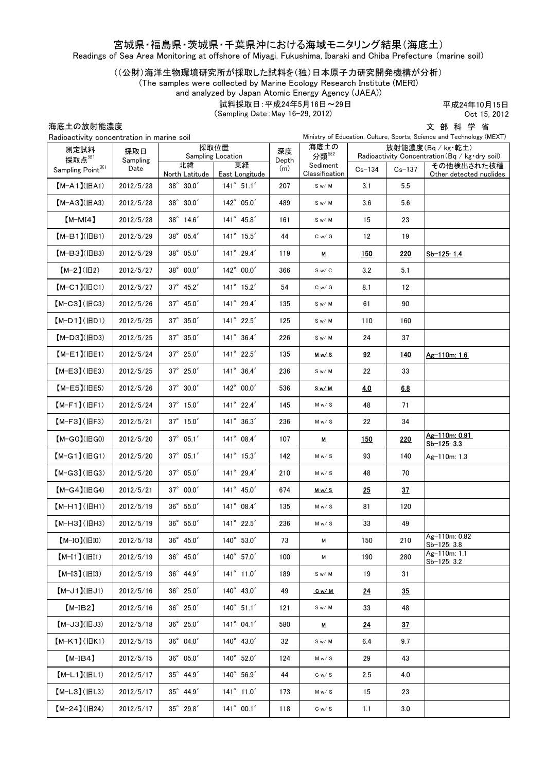#### 宮城県・福島県・茨城県・千葉県沖における海域モニタリング結果(海底土)

Readings of Sea Area Monitoring at offshore of Miyagi, Fukushima, Ibaraki and Chiba Prefecture (marine soil)

#### ((公財)海洋生物環境研究所が採取した試料を(独)日本原子力研究開発機構が分析)

(The samples were collected by Marine Ecology Research Institute (MERI)

and analyzed by Japan Atomic Energy Agency (JAEA))

試料採取日:平成24年5月16日~29日

(Sampling Date:May 16-29, 2012)

平成24年10月15日 Oct 15, 2012

海底土の放射能濃度

文 部 科 学 省 Ministry of Education, Culture, Sports, Science and Technology (MEXT)

| Radioactivity concentration in marine soil |                 |                           | Ministry of Education, Culture, Sports, Science and Technology (MEXT) |             |                            |                                                                                   |            |                                       |  |
|--------------------------------------------|-----------------|---------------------------|-----------------------------------------------------------------------|-------------|----------------------------|-----------------------------------------------------------------------------------|------------|---------------------------------------|--|
| 測定試料<br>採取点※1                              | 採取日<br>Sampling | 採取位置<br>Sampling Location |                                                                       | 深度<br>Depth | 海底土の<br>分類 <sup>※2</sup>   | 放射能濃度(Bq/kg・乾土)<br>Radioactivity Concentration $(Bq / kg \cdot dry \text{ soil})$ |            |                                       |  |
| Sampling Point <sup>*1</sup>               | Date            | 北緯<br>North Latitude      | 東経<br>East Longitude                                                  | (m)         | Sediment<br>Classification | $Cs-134$                                                                          | $Cs - 137$ | その他検出された核種<br>Other detected nuclides |  |
| $[M-A1](HA1)$                              | 2012/5/28       | $38^{\circ}$ 30.0'        | $141^{\circ}$ 51.1'                                                   | 207         | S w/M                      | 3.1                                                                               | 5.5        |                                       |  |
| $[M-A3](HA3)$                              | 2012/5/28       | $38^{\circ}$ 30.0'        | 142° 05.0'                                                            | 489         | Sw/M                       | 3.6                                                                               | 5.6        |                                       |  |
| $[M-MI4]$                                  | 2012/5/28       | 38° 14.6'                 | $141^{\circ}$ 45.8'                                                   | 161         | S w/M                      | 15                                                                                | 23         |                                       |  |
| $[M-B1] (IBB1)$                            | 2012/5/29       | 38° 05.4'                 | $141^{\circ}$ 15.5'                                                   | 44          | C w / G                    | 12                                                                                | 19         |                                       |  |
| $[M-B3]$ (IBB3)                            | 2012/5/29       | $38^{\circ}$ 05.0'        | $141^{\circ}$ 29.4'                                                   | 119         | М                          | 150                                                                               | <b>220</b> | Sb-125: 1.4                           |  |
| $[M-2](H2)$                                | 2012/5/27       | 38° 00.0'                 | 142° 00.0'                                                            | 366         | S w / C                    | 3.2                                                                               | 5.1        |                                       |  |
| $[M-C1]$ ( $ BC1$ )                        | 2012/5/27       | $37^{\circ}$ 45.2'        | $141^{\circ}$ 15.2'                                                   | 54          | C w / G                    | 8.1                                                                               | 12         |                                       |  |
| $[M-C3]$ ( $HC3$ )                         | 2012/5/26       | $37^{\circ}$ 45.0'        | 141° 29.4'                                                            | 135         | Sw/M                       | 61                                                                                | 90         |                                       |  |
| $[M-D1]$ ( $ BD1$ )                        | 2012/5/25       | $37^\circ$ $35.0'$        | $141^{\circ}$ 22.5'                                                   | 125         | S w/M                      | 110                                                                               | 160        |                                       |  |
| $[M-D3]$ ( $HD3$ )                         | 2012/5/25       | $37^\circ$ $35.0'$        | $141^{\circ}$ 36.4'                                                   | 226         | Sw/M                       | 24                                                                                | 37         |                                       |  |
| $(M-E1)(HE1)$                              | 2012/5/24       | $37^{\circ}$ 25.0'        | $141^{\circ}$ 22.5'                                                   | 135         | <u>Mw/S</u>                | 92                                                                                | <u>140</u> | Ag-110m: 1.6                          |  |
| $[M-E3]$ (IBE3)                            | 2012/5/25       | $37^\circ$ $25.0'$        | 141° 36.4'                                                            | 236         | S w/M                      | 22                                                                                | 33         |                                       |  |
| $[M-E5]$ (IBE5)                            | 2012/5/26       | $37^{\circ}$ 30.0'        | $142^{\circ}$ 00.0'                                                   | 536         | <u>Sw/M</u>                | 4.0                                                                               | 6.8        |                                       |  |
| $[M-F1]$ ( $ HF1$ )                        | 2012/5/24       | $37^{\circ}$ 15.0'        | 141° 22.4'                                                            | 145         | M w / S                    | 48                                                                                | 71         |                                       |  |
| $[M-F3]$ ( $HF3$ )                         | 2012/5/21       | 37° 15.0'                 | $141^{\circ}$ 36.3'                                                   | 236         | M w/ S                     | 22                                                                                | 34         |                                       |  |
| $[M-GO](HGO)$                              | 2012/5/20       | $37^\circ$ $05.1'$        | 141° 08.4'                                                            | 107         | М                          | 150                                                                               | 220        | Ag-110m: 0.91<br>Sb-125: 3.3          |  |
| $[M-G1]$ ( $HGI$ )                         | 2012/5/20       | $37^{\circ}$ 05.1'        | $141^{\circ}$ 15.3'                                                   | 142         | M w/ S                     | 93                                                                                | 140        | Ag-110m: 1.3                          |  |
| $[M-G3]$ ( $H$ G3)                         | 2012/5/20       | 37° 05.0'                 | 141° 29.4'                                                            | 210         | M w / S                    | 48                                                                                | 70         |                                       |  |
| $[M-G4](HG4)$                              | 2012/5/21       | $37^{\circ}$ 00.0'        | $141^{\circ}$ 45.0'                                                   | 674         | <u>Mw/S</u>                | 25                                                                                | 37         |                                       |  |
| $[M-H1]$ ( $ HH1$ )                        | 2012/5/19       | $36^{\circ}$ 55.0'        | 141° 08.4'                                                            | 135         | M w/ S                     | 81                                                                                | 120        |                                       |  |
| $[M-H3]$ ( $HH3$ )                         | 2012/5/19       | $36^{\circ}$ 55.0'        | 141° 22.5'                                                            | 236         | M w / S                    | 33                                                                                | 49         |                                       |  |
| $[M-IO]( EIO)$                             | 2012/5/18       | $36^{\circ}$ 45.0'        | 140° 53.0'                                                            | 73          | М                          | 150                                                                               | 210        | Ag-110m: 0.82<br>$Sb-12b: 3.8$        |  |
| $[M-I1]$ ( $ H1$ )                         | 2012/5/19       | $36^{\circ}$ 45.0'        | 140° 57.0'                                                            | 100         | М                          | 190                                                                               | 280        | Ag-110m: 1.1<br>Sb-125: 3.2           |  |
| $[M-I3](IBI3)$                             | 2012/5/19       | $36^{\circ}$ 44.9'        | $141^{\circ}$ 11.0'                                                   | 189         | S w/M                      | 19                                                                                | 31         |                                       |  |
| $(M-J1)(HJI)$                              | 2012/5/16       | 36° 25.0'                 | 140° 43.0'                                                            | 49          | <u>Cw/M</u>                | <u>24</u>                                                                         | <u>35</u>  |                                       |  |
| $[M-IB2]$                                  | 2012/5/16       | $36^\circ$ $25.0'$        | $140^{\circ}$ 51.1'                                                   | 121         | S w/M                      | 33                                                                                | 48         |                                       |  |
| $[M-J3](HJ3)$                              | 2012/5/18       | $36^\circ$ $25.0'$        | $141^{\circ}$ 04.1'                                                   | 580         | M                          | <u>24</u>                                                                         | 37         |                                       |  |
| $[M-K1]$ ( $HK1$ )                         | 2012/5/15       | $36^{\circ}$ 04.0'        | 140° 43.0'                                                            | 32          | S w/M                      | 6.4                                                                               | 9.7        |                                       |  |
| $[M-IB4]$                                  | 2012/5/15       | $36^\circ$ $05.0'$        | 140° 52.0'                                                            | 124         | M w/ S                     | 29                                                                                | 43         |                                       |  |
| $[M-L1]( HL1)$                             | 2012/5/17       | $35^{\circ}$ 44.9'        | 140° 56.9'                                                            | 44          | C w / S                    | 2.5                                                                               | 4.0        |                                       |  |
| $[M-L3]$ ( $ HL3$ )                        | 2012/5/17       | $35^\circ$ $44.9'$        | $141^{\circ}$ 11.0'                                                   | 173         | M w/ S                     | 15                                                                                | 23         |                                       |  |
| $[M-24](H24)$                              | 2012/5/17       | $35^\circ$ $29.8'$        | $141^{\circ}$ 00.1'                                                   | 118         | C w / S                    | 1.1                                                                               | 3.0        |                                       |  |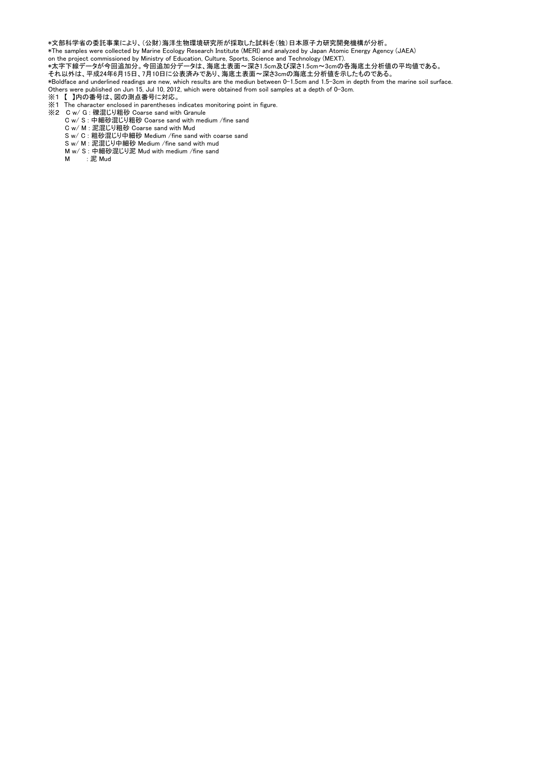\*文部科学省の委託事業により、(公財)海洋生物環境研究所が採取した試料を(独)日本原子力研究開発機構が分析。

\*The samples were collected by Marine Ecology Research Institute (MERI) and analyzed by Japan Atomic Energy Agency (JAEA)

on the project commissioned by Ministry of Education, Culture, Sports, Science and Technology (MEXT).

\*太字下線データが今回追加分。今回追加分データは、海底土表面~深さ1.5cm及び深さ1.5cm~3cmの各海底土分析値の平均値である。

それ以外は、平成24年6月15日、7月10日に公表済みであり、海底土表面~深さ3cmの海底土分析値を示したものである。

\*Boldface and underlined readings are new, which results are the mediun between 0-1.5cm and 1.5-3cm in depth from the marine soil surface. Others were published on Jun 15, Jul 10, 2012, which were obtained from soil samples at a depth of 0-3cm.

- ※1 【 】内の番号は、図の測点番号に対応。
- ※1 The character enclosed in parentheses indicates monitoring point in figure.
- ※2 C w/ G : 礫混じり粗砂 Coarse sand with Granule
- C w/ S : 中細砂混じり粗砂 Coarse sand with medium /fine sand
	- C w/ M : 泥混じり粗砂 Coarse sand with Mud
	- S w/ C : 粗砂混じり中細砂 Medium /fine sand with coarse sand
	- S w/ M : 泥混じり中細砂 Medium /fine sand with mud
	- M w/ S : 中細砂混じり泥 Mud with medium /fine sand
	- M : 泥 Mud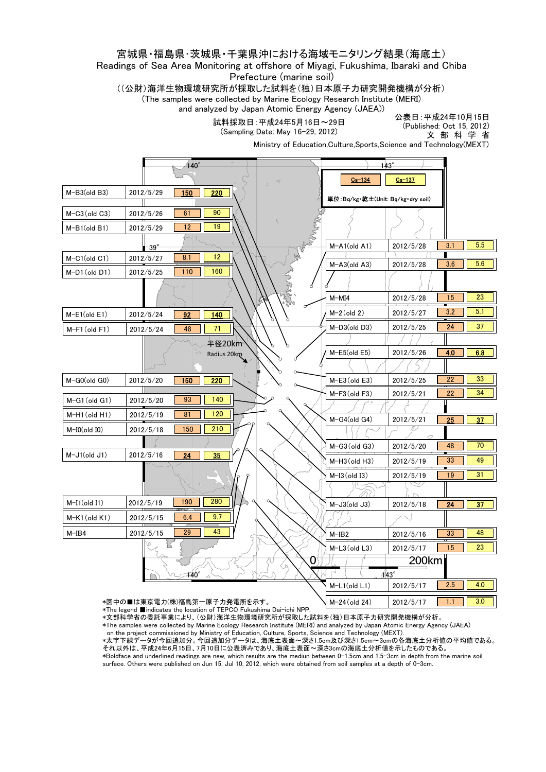#### 宮城県・福島県・茨城県・千葉県沖における海域モニタリング結果(海底土)

#### Readings of Sea Area Monitoring at offshore of Miyagi, Fukushima, Ibaraki and Chiba Prefecture (marine soil)

((公財)海洋生物環境研究所が採取した試料を(独)日本原子力研究開発機構が分析)

(The samples were collected by Marine Ecology Research Institute (MERI) and analyzed by Japan Atomic Energy Agency (JAEA))

試料採取日:平成24年5月16日~29日

(Sampling Date: May 16-29, 2012)

公表日:平成24年10月15日 (Published: Oct 15, 2012) 文 部 科 学 省

Ministry of Education,Culture,Sports,Science and Technology(MEXT)

|                       |             |                                                                                                     |               | $143^{\circ}$ |                                   |            |            |
|-----------------------|-------------|-----------------------------------------------------------------------------------------------------|---------------|---------------|-----------------------------------|------------|------------|
|                       |             |                                                                                                     |               |               | $Cs - 134$                        | $Cs - 137$ |            |
| $M-B3$ (old B3)       | 2012/5/29   | 150<br>$\overline{220}$                                                                             |               |               | 単位:Bq/kg・乾土(Unit: Bq/kg・dry soil) |            |            |
| $M-C3$ (old $C3$ )    | 2012/5/26   | 90<br>61                                                                                            |               |               |                                   |            |            |
| $M-B1(old B1)$        | 2012/5/29   | 19<br>12                                                                                            |               |               |                                   |            |            |
|                       | $-39^\circ$ |                                                                                                     |               |               | $M-A1(old A1)$                    | 2012/5/28  | 5.5<br>3.1 |
| $M-C1(old C1)$        | 2012/5/27   | $\overline{12}$<br>8.1                                                                              |               |               |                                   |            | 5.6<br>3.6 |
| $M-D1$ (old $D1$ )    | 2012/5/25   | 110<br>160                                                                                          |               |               | $M-A3$ (old A3)                   | 2012/5/28  |            |
|                       |             |                                                                                                     | <b>NARANT</b> |               |                                   |            |            |
|                       |             |                                                                                                     |               |               | $M-MI4$                           | 2012/5/28  | 23<br>15   |
| $M-E1$ (old E1)       | 2012/5/24   | $\overline{140}$<br>92                                                                              |               |               | $M-2$ (old 2)                     | 2012/5/27  | 5.1<br>3.2 |
| $M-F1$ (old $F1$ )    | 2012/5/24   | 71<br>48                                                                                            |               |               | $M-D3$ (old D3)                   | 2012/5/25  | 37<br>24   |
|                       |             | 半径20km                                                                                              | Р             |               |                                   |            |            |
|                       |             | Radius 20km                                                                                         |               |               | $M-E5$ (old $E5$ )                | 2012/5/26  | 4.0<br>6.8 |
|                       |             |                                                                                                     |               |               |                                   |            |            |
| $M-GO(\text{old }G0)$ | 2012/5/20   | 220<br><b>150</b>                                                                                   |               |               | $M-E3$ (old E3)                   | 2012/5/25  | 33<br>22   |
| $M-G1$ (old $G1$ )    | 2012/5/20   | 140<br>93                                                                                           |               |               | $M-F3$ (old $F3$ )                | 2012/5/21  | 34<br>22   |
| $M-H1$ (old $H1$ )    | 2012/5/19   | 81<br>120                                                                                           |               |               |                                   |            |            |
| $M-I0(old I0)$        | 2012/5/18   | 210<br>150                                                                                          |               |               | $M-G4$ (old $G4$ )                | 2012/5/21  | 25<br>37   |
|                       |             |                                                                                                     |               |               |                                   |            | 70<br>48   |
| $M-J1(old J1)$        | 2012/5/16   | 24<br>35                                                                                            | $\alpha$      |               | $M-G3$ (old $G3$ )                | 2012/5/20  |            |
|                       |             |                                                                                                     |               |               | $M-H3$ (old H3)                   | 2012/5/19  | 49<br>33   |
|                       |             |                                                                                                     |               |               | $M-I3$ (old I3)                   | 2012/5/19  | 31<br>19   |
|                       |             |                                                                                                     |               |               |                                   |            |            |
| $M-I1(old I1)$        | 2012/5/19   | 280<br>190                                                                                          |               |               | $M-J3$ (old $J3$ )                | 2012/5/18  | 37<br>24   |
| $M-K1$ (old $K1$ )    | 2012/5/15   | 9.7<br>6.4                                                                                          |               |               |                                   |            |            |
| $M-IB4$               | 2012/5/15   | 29<br>43                                                                                            |               |               | $M-IB2$                           | 2012/5/16  | 48<br>33   |
|                       |             |                                                                                                     |               |               | $M-L3$ (old $L3$ )                | 2012/5/17  | 23<br>15   |
|                       |             |                                                                                                     |               | Ō.            |                                   | 200km      |            |
|                       |             | $\overline{440}^\circ$                                                                              |               |               | $443^\circ$                       |            |            |
|                       |             |                                                                                                     |               |               | M-L1(old L1)                      | 2012/5/17  | 4.0<br>2.5 |
|                       |             | *図中の■は東京電力(株)福島第一原子力発電所を示す。<br>*The legend ■indicates the location of TEPCO Fukushima Dai-ichi NPP. |               |               | M-24 (old 24)                     | 2012/5/17  | 3.0<br>1.1 |

\*文部科学省の委託事業により、(公財)海洋生物環境研究所が採取した試料を(独)日本原子力研究開発機構が分析。

\*The samples were collected by Marine Ecology Research Institute (MERI) and analyzed by Japan Atomic Energy Agency (JAEA)

on the project commissioned by Ministry of Education, Culture, Sports, Science and Technology (MEXT).

\*太字下線データが今回追加分。今回追加分データは、海底土表面~深さ1.5cm及び深さ1.5cm~3cmの各海底土分析値の平均値である。 それ以外は、平成24年6月15日、7月10日に公表済みであり、海底土表面~深さ3cmの海底土分析値を示したものである。 \*Boldface and underlined readings are new, which results are the mediun between 0-1.5cm and 1.5-3cm in depth from the marine soil surface. Others were published on Jun 15, Jul 10, 2012, which were obtained from soil samples at a depth of 0-3cm.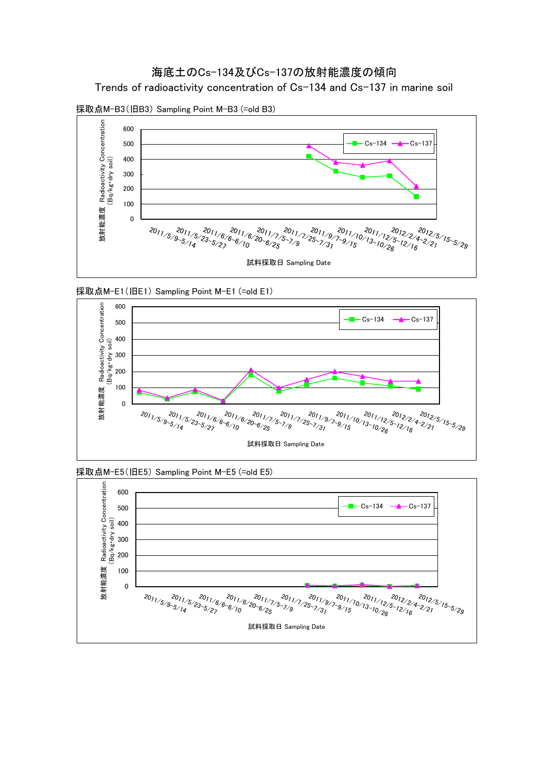### 海底土のCs-134及びCs-137の放射能濃度の傾向

Trends of radioactivity concentration of Cs-134 and Cs-137 in marine soil











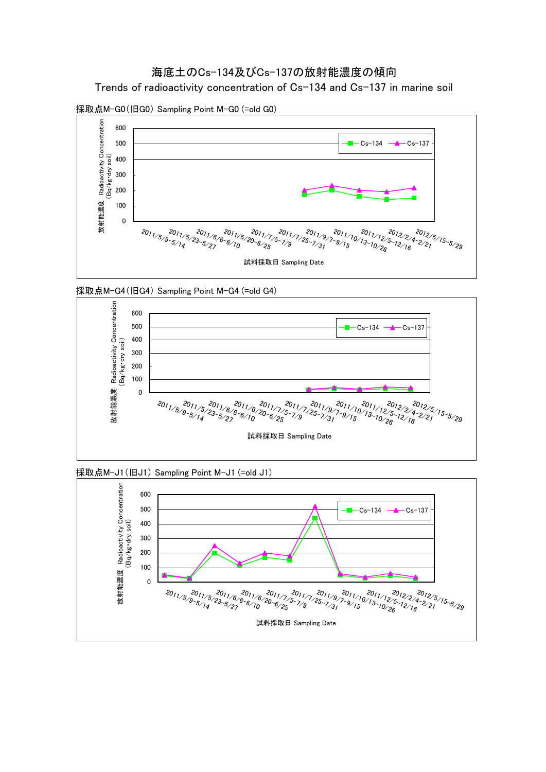# 海底土のCs-134及びCs-137の放射能濃度の傾向

Trends of radioactivity concentration of Cs-134 and Cs-137 in marine soil